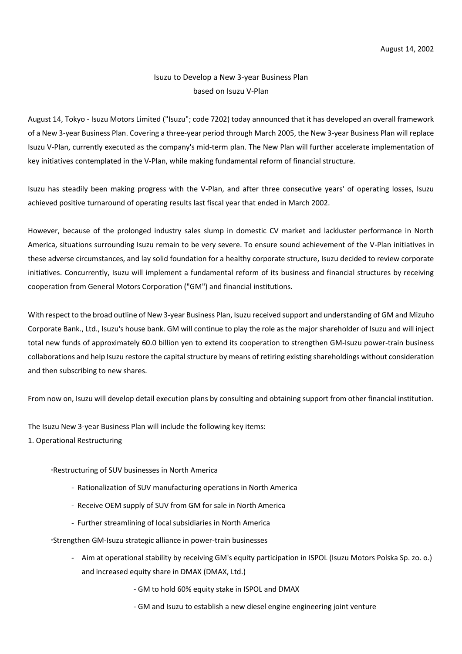# Isuzu to Develop a New 3-year Business Plan based on Isuzu V-Plan

August 14, Tokyo - Isuzu Motors Limited ("Isuzu"; code 7202) today announced that it has developed an overall framework of a New 3-year Business Plan. Covering a three-year period through March 2005, the New 3-year Business Plan will replace Isuzu V-Plan, currently executed as the company's mid-term plan. The New Plan will further accelerate implementation of key initiatives contemplated in the V-Plan, while making fundamental reform of financial structure.

Isuzu has steadily been making progress with the V-Plan, and after three consecutive years' of operating losses, Isuzu achieved positive turnaround of operating results last fiscal year that ended in March 2002.

However, because of the prolonged industry sales slump in domestic CV market and lackluster performance in North America, situations surrounding Isuzu remain to be very severe. To ensure sound achievement of the V-Plan initiatives in these adverse circumstances, and lay solid foundation for a healthy corporate structure, Isuzu decided to review corporate initiatives. Concurrently, Isuzu will implement a fundamental reform of its business and financial structures by receiving cooperation from General Motors Corporation ("GM") and financial institutions.

With respect to the broad outline of New 3-year Business Plan, Isuzu received support and understanding of GM and Mizuho Corporate Bank., Ltd., Isuzu's house bank. GM will continue to play the role as the major shareholder of Isuzu and will inject total new funds of approximately 60.0 billion yen to extend its cooperation to strengthen GM-Isuzu power-train business collaborations and help Isuzu restore the capital structure by means of retiring existing shareholdings without consideration and then subscribing to new shares.

From now on, Isuzu will develop detail execution plans by consulting and obtaining support from other financial institution.

The Isuzu New 3-year Business Plan will include the following key items:

1. Operational Restructuring

Restructuring of SUV businesses in North America

- Rationalization of SUV manufacturing operations in North America
- Receive OEM supply of SUV from GM for sale in North America
- Further streamlining of local subsidiaries in North America
- Strengthen GM-Isuzu strategic alliance in power-train businesses
	- Aim at operational stability by receiving GM's equity participation in ISPOL (Isuzu Motors Polska Sp. zo. o.) and increased equity share in DMAX (DMAX, Ltd.)
		- GM to hold 60% equity stake in ISPOL and DMAX
		- GM and Isuzu to establish a new diesel engine engineering joint venture